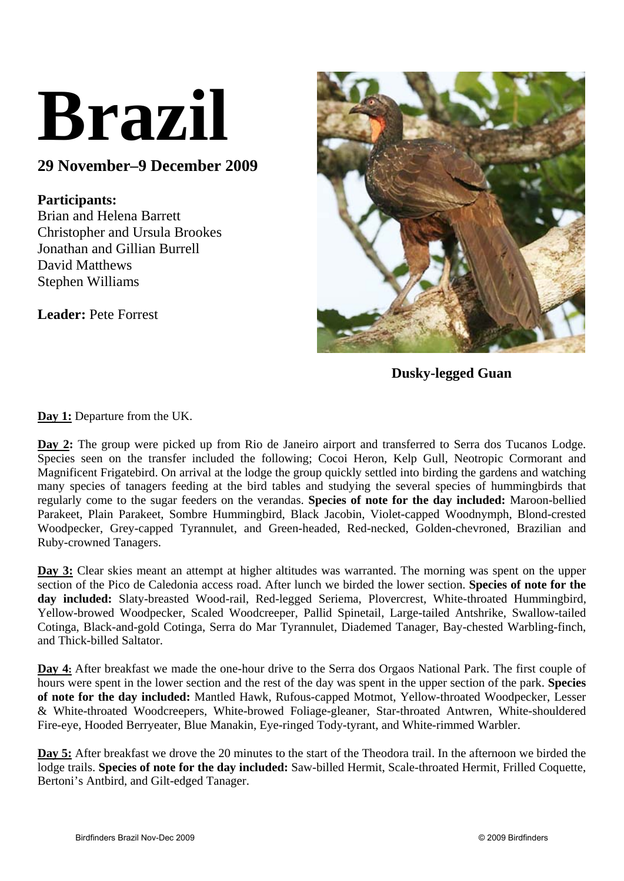## **Brazil**

## **29 November–9 December 2009**

## **Participants:**

Brian and Helena Barrett Christopher and Ursula Brookes Jonathan and Gillian Burrell David Matthews Stephen Williams

**Leader:** Pete Forrest



**Dusky-legged Guan** 

**Day 1:** Departure from the UK.

**Day 2:** The group were picked up from Rio de Janeiro airport and transferred to Serra dos Tucanos Lodge. Species seen on the transfer included the following; Cocoi Heron, Kelp Gull, Neotropic Cormorant and Magnificent Frigatebird. On arrival at the lodge the group quickly settled into birding the gardens and watching many species of tanagers feeding at the bird tables and studying the several species of hummingbirds that regularly come to the sugar feeders on the verandas. **Species of note for the day included:** Maroon-bellied Parakeet, Plain Parakeet, Sombre Hummingbird, Black Jacobin, Violet-capped Woodnymph, Blond-crested Woodpecker, Grey-capped Tyrannulet, and Green-headed, Red-necked, Golden-chevroned, Brazilian and Ruby-crowned Tanagers.

**Day 3:** Clear skies meant an attempt at higher altitudes was warranted. The morning was spent on the upper section of the Pico de Caledonia access road. After lunch we birded the lower section. **Species of note for the day included:** Slaty-breasted Wood-rail, Red-legged Seriema, Plovercrest, White-throated Hummingbird, Yellow-browed Woodpecker, Scaled Woodcreeper, Pallid Spinetail, Large-tailed Antshrike, Swallow-tailed Cotinga, Black-and-gold Cotinga, Serra do Mar Tyrannulet, Diademed Tanager, Bay-chested Warbling-finch, and Thick-billed Saltator.

**Day 4:** After breakfast we made the one-hour drive to the Serra dos Orgaos National Park. The first couple of hours were spent in the lower section and the rest of the day was spent in the upper section of the park. **Species of note for the day included:** Mantled Hawk, Rufous-capped Motmot, Yellow-throated Woodpecker, Lesser & White-throated Woodcreepers, White-browed Foliage-gleaner, Star-throated Antwren, White-shouldered Fire-eye, Hooded Berryeater, Blue Manakin, Eye-ringed Tody-tyrant, and White-rimmed Warbler.

**Day 5:** After breakfast we drove the 20 minutes to the start of the Theodora trail. In the afternoon we birded the lodge trails. **Species of note for the day included:** Saw-billed Hermit, Scale-throated Hermit, Frilled Coquette, Bertoni's Antbird, and Gilt-edged Tanager.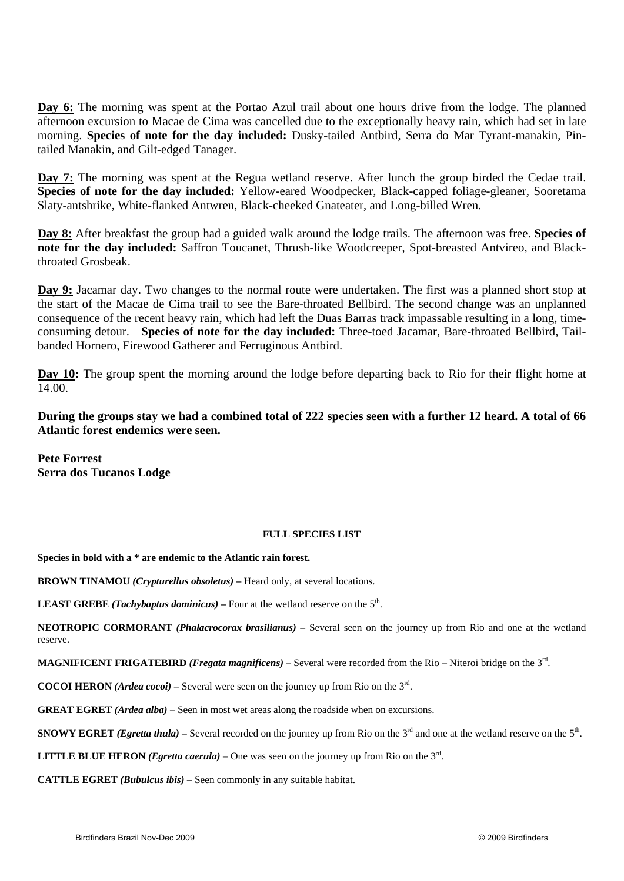**Day 6:** The morning was spent at the Portao Azul trail about one hours drive from the lodge. The planned afternoon excursion to Macae de Cima was cancelled due to the exceptionally heavy rain, which had set in late morning. **Species of note for the day included:** Dusky-tailed Antbird, Serra do Mar Tyrant-manakin, Pintailed Manakin, and Gilt-edged Tanager.

**Day 7:** The morning was spent at the Regua wetland reserve. After lunch the group birded the Cedae trail. **Species of note for the day included:** Yellow-eared Woodpecker, Black-capped foliage-gleaner, Sooretama Slaty-antshrike, White-flanked Antwren, Black-cheeked Gnateater, and Long-billed Wren.

**Day 8:** After breakfast the group had a guided walk around the lodge trails. The afternoon was free. **Species of note for the day included:** Saffron Toucanet, Thrush-like Woodcreeper, Spot-breasted Antvireo, and Blackthroated Grosbeak.

**Day 9:** Jacamar day. Two changes to the normal route were undertaken. The first was a planned short stop at the start of the Macae de Cima trail to see the Bare-throated Bellbird. The second change was an unplanned consequence of the recent heavy rain, which had left the Duas Barras track impassable resulting in a long, timeconsuming detour. **Species of note for the day included:** Three-toed Jacamar, Bare-throated Bellbird, Tailbanded Hornero, Firewood Gatherer and Ferruginous Antbird.

**Day 10:** The group spent the morning around the lodge before departing back to Rio for their flight home at 14.00.

**During the groups stay we had a combined total of 222 species seen with a further 12 heard. A total of 66 Atlantic forest endemics were seen.** 

**Pete Forrest Serra dos Tucanos Lodge** 

## **FULL SPECIES LIST**

**Species in bold with a \* are endemic to the Atlantic rain forest.** 

**BROWN TINAMOU** *(Crypturellus obsoletus) –* Heard only, at several locations.

**LEAST GREBE** *(Tachybaptus dominicus)* – Four at the wetland reserve on the  $5<sup>th</sup>$ .

**NEOTROPIC CORMORANT** *(Phalacrocorax brasilianus) –* Several seen on the journey up from Rio and one at the wetland reserve.

**MAGNIFICENT FRIGATEBIRD** *(Fregata magnificens)* – Several were recorded from the Rio – Niteroi bridge on the 3rd.

**COCOI HERON** *(Ardea cocoi)* – Several were seen on the journey up from Rio on the 3rd.

**GREAT EGRET** *(Ardea alba)* – Seen in most wet areas along the roadside when on excursions.

**SNOWY EGRET** *(Egretta thula)* – Several recorded on the journey up from Rio on the 3<sup>rd</sup> and one at the wetland reserve on the 5<sup>th</sup>.

**LITTLE BLUE HERON** *(Egretta caerula)* – One was seen on the journey up from Rio on the  $3<sup>rd</sup>$ .

**CATTLE EGRET** *(Bubulcus ibis) –* Seen commonly in any suitable habitat.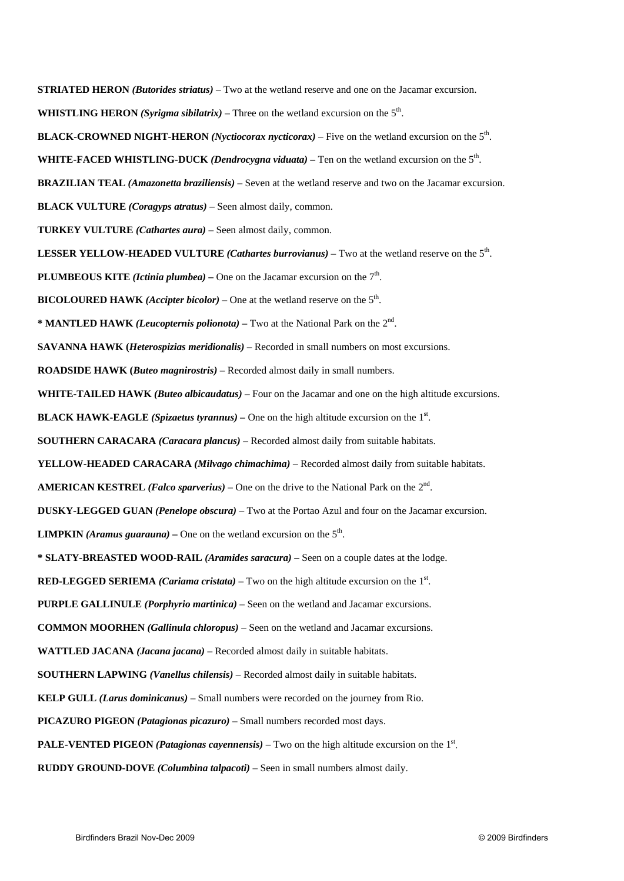**STRIATED HERON** *(Butorides striatus)* – Two at the wetland reserve and one on the Jacamar excursion. **WHISTLING HERON** *(Syrigma sibilatrix)* – Three on the wetland excursion on the  $5<sup>th</sup>$ . **BLACK-CROWNED NIGHT-HERON** *(Nyctiocorax nycticorax)* – Five on the wetland excursion on the 5th. **WHITE-FACED WHISTLING-DUCK** *(Dendrocygna viduata) –* Ten on the wetland excursion on the 5th. **BRAZILIAN TEAL** *(Amazonetta braziliensis)* – Seven at the wetland reserve and two on the Jacamar excursion. **BLACK VULTURE** *(Coragyps atratus)* – Seen almost daily, common. **TURKEY VULTURE** *(Cathartes aura)* – Seen almost daily, common. **LESSER YELLOW-HEADED VULTURE** *(Cathartes burrovianus) –* Two at the wetland reserve on the 5th. **PLUMBEOUS KITE** *(Ictinia plumbea)* – One on the Jacamar excursion on the  $7<sup>th</sup>$ . **BICOLOURED HAWK** *(Accipter bicolor)* – One at the wetland reserve on the  $5<sup>th</sup>$ . **\* MANTLED HAWK** *(Leucopternis polionota) –* Two at the National Park on the 2nd. **SAVANNA HAWK (***Heterospizias meridionalis)* – Recorded in small numbers on most excursions. **ROADSIDE HAWK (***Buteo magnirostris)* – Recorded almost daily in small numbers. **WHITE-TAILED HAWK** *(Buteo albicaudatus)* – Four on the Jacamar and one on the high altitude excursions. **BLACK HAWK-EAGLE** *(Spizaetus tyrannus)* – One on the high altitude excursion on the  $1<sup>st</sup>$ . **SOUTHERN CARACARA** *(Caracara plancus)* – Recorded almost daily from suitable habitats. **YELLOW-HEADED CARACARA** *(Milvago chimachima)* – Recorded almost daily from suitable habitats. **AMERICAN KESTREL** *(Falco sparverius)* – One on the drive to the National Park on the 2nd. **DUSKY-LEGGED GUAN** *(Penelope obscura)* – Two at the Portao Azul and four on the Jacamar excursion. **LIMPKIN** *(Aramus guarauna)* – One on the wetland excursion on the  $5<sup>th</sup>$ . **\* SLATY-BREASTED WOOD-RAIL** *(Aramides saracura)* **–** Seen on a couple dates at the lodge. **RED-LEGGED SERIEMA** *(Cariama cristata)* – Two on the high altitude excursion on the  $1<sup>st</sup>$ . **PURPLE GALLINULE** *(Porphyrio martinica)* – Seen on the wetland and Jacamar excursions. **COMMON MOORHEN** *(Gallinula chloropus)* – Seen on the wetland and Jacamar excursions. **WATTLED JACANA** *(Jacana jacana)* – Recorded almost daily in suitable habitats.  **SOUTHERN LAPWING** *(Vanellus chilensis)* – Recorded almost daily in suitable habitats. **KELP GULL** *(Larus dominicanus)* – Small numbers were recorded on the journey from Rio. **PICAZURO PIGEON** *(Patagionas picazuro)* – Small numbers recorded most days. **PALE-VENTED PIGEON** *(Patagionas cayennensis)* – Two on the high altitude excursion on the 1<sup>st</sup>. **RUDDY GROUND-DOVE** *(Columbina talpacoti)* – Seen in small numbers almost daily.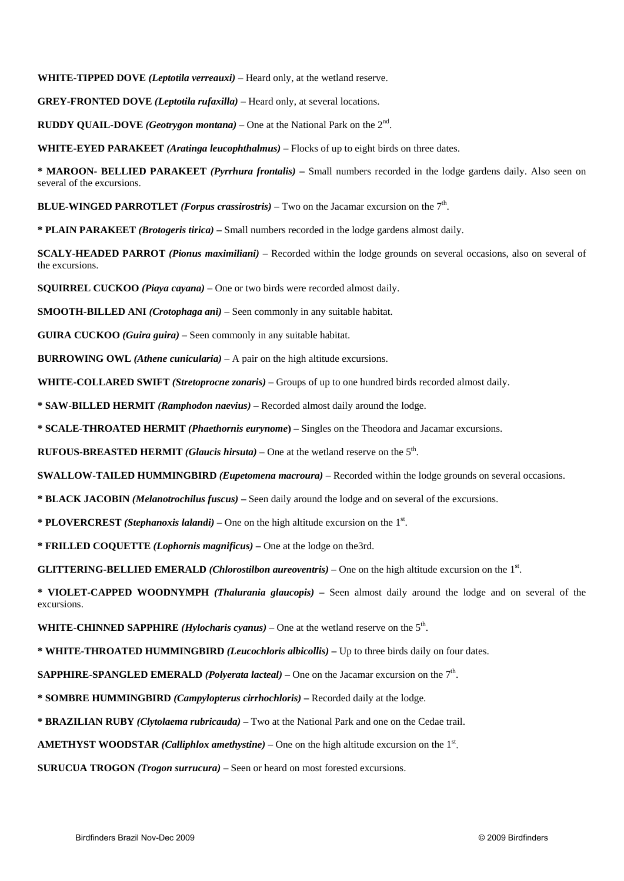**WHITE-TIPPED DOVE** *(Leptotila verreauxi)* – Heard only, at the wetland reserve.

**GREY-FRONTED DOVE** *(Leptotila rufaxilla)* – Heard only, at several locations.

**RUDDY OUAIL-DOVE** *(Geotrygon montana)* – One at the National Park on the  $2<sup>nd</sup>$ .

**WHITE-EYED PARAKEET** *(Aratinga leucophthalmus)* – Flocks of up to eight birds on three dates.

**\* MAROON- BELLIED PARAKEET** *(Pyrrhura frontalis)* **–** Small numbers recorded in the lodge gardens daily. Also seen on several of the excursions.

**BLUE-WINGED PARROTLET** *(Forpus crassirostris)* – Two on the Jacamar excursion on the 7th.

**\* PLAIN PARAKEET** *(Brotogeris tirica) –* Small numbers recorded in the lodge gardens almost daily.

**SCALY-HEADED PARROT** *(Pionus maximiliani)* – Recorded within the lodge grounds on several occasions, also on several of the excursions.

**SQUIRREL CUCKOO** *(Piaya cayana)* – One or two birds were recorded almost daily.

**SMOOTH-BILLED ANI** *(Crotophaga ani)* – Seen commonly in any suitable habitat.

**GUIRA CUCKOO** *(Guira guira)* – Seen commonly in any suitable habitat.

**BURROWING OWL** *(Athene cunicularia)* – A pair on the high altitude excursions.

**WHITE-COLLARED SWIFT** *(Stretoprocne zonaris)* – Groups of up to one hundred birds recorded almost daily.

**\* SAW-BILLED HERMIT** *(Ramphodon naevius)* **–** Recorded almost daily around the lodge.

**\* SCALE-THROATED HERMIT** *(Phaethornis eurynome***) –** Singles on the Theodora and Jacamar excursions.

**RUFOUS-BREASTED HERMIT** *(Glaucis hirsuta)* – One at the wetland reserve on the  $5<sup>th</sup>$ .

**SWALLOW-TAILED HUMMINGBIRD** *(Eupetomena macroura)* – Recorded within the lodge grounds on several occasions.

**\* BLACK JACOBIN** *(Melanotrochilus fuscus)* **–** Seen daily around the lodge and on several of the excursions.

\* **PLOVERCREST** *(Stephanoxis lalandi)* – One on the high altitude excursion on the 1<sup>st</sup>.

**\* FRILLED COQUETTE** *(Lophornis magnificus) –* One at the lodge on the3rd.

**GLITTERING-BELLIED EMERALD** *(Chlorostilbon aureoventris)* – One on the high altitude excursion on the 1<sup>st</sup>.

**\* VIOLET-CAPPED WOODNYMPH** *(Thalurania glaucopis)* **–** Seen almost daily around the lodge and on several of the excursions.

**WHITE-CHINNED SAPPHIRE** *(Hylocharis cyanus)* – One at the wetland reserve on the  $5<sup>th</sup>$ .

**\* WHITE-THROATED HUMMINGBIRD** *(Leucochloris albicollis) –* Up to three birds daily on four dates.

**SAPPHIRE-SPANGLED EMERALD** *(Polyerata lacteal)* **– One on the Jacamar excursion on the**  $7<sup>th</sup>$ **.** 

**\* SOMBRE HUMMINGBIRD** *(Campylopterus cirrhochloris)* **–** Recorded daily at the lodge.

**\* BRAZILIAN RUBY** *(Clytolaema rubricauda) –* Two at the National Park and one on the Cedae trail.

**AMETHYST WOODSTAR** *(Calliphlox amethystine)* – One on the high altitude excursion on the  $1<sup>st</sup>$ .

**SURUCUA TROGON** *(Trogon surrucura)* – Seen or heard on most forested excursions.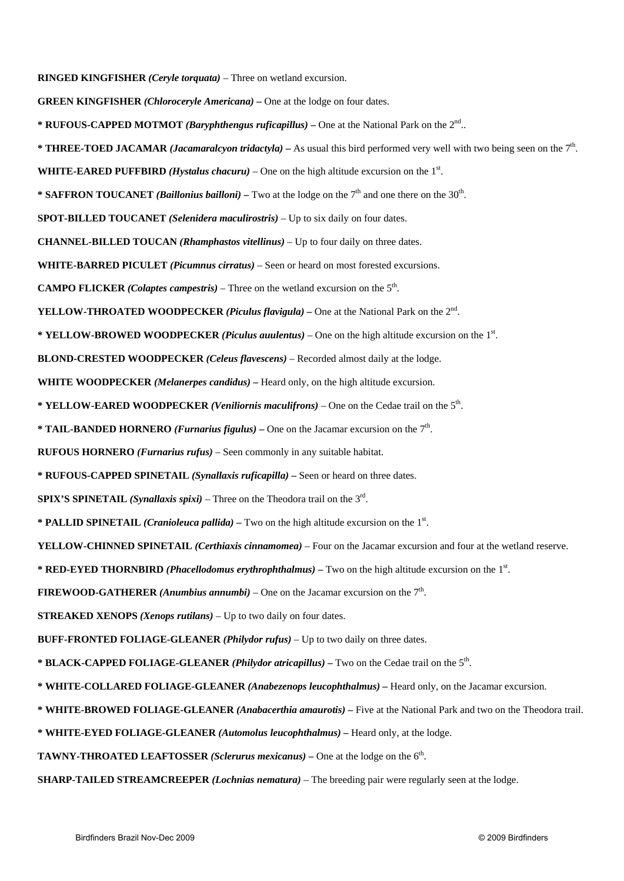**RINGED KINGFISHER** *(Ceryle torquata)* – Three on wetland excursion. **GREEN KINGFISHER** *(Chloroceryle Americana) –* One at the lodge on four dates. **\* RUFOUS-CAPPED MOTMOT** *(Baryphthengus ruficapillus)* **–** One at the National Park on the 2nd.. **\* THREE-TOED JACAMAR** *(Jacamaralcyon tridactyla)* – As usual this bird performed very well with two being seen on the  $7<sup>th</sup>$ . **WHITE-EARED PUFFBIRD** (*Hystalus chacuru*) – One on the high altitude excursion on the  $1<sup>st</sup>$ . \* **SAFFRON TOUCANET** *(Baillonius bailloni*) – Two at the lodge on the 7<sup>th</sup> and one there on the 30<sup>th</sup>. **SPOT-BILLED TOUCANET** *(Selenidera maculirostris)* – Up to six daily on four dates. **CHANNEL-BILLED TOUCAN** *(Rhamphastos vitellinus) –* Up to four daily on three dates. **WHITE-BARRED PICULET** *(Picumnus cirratus)* – Seen or heard on most forested excursions. **CAMPO FLICKER** *(Colaptes campestris)* – Three on the wetland excursion on the  $5<sup>th</sup>$ . **YELLOW-THROATED WOODPECKER** *(Piculus flavigula)* – One at the National Park on the 2<sup>nd</sup>. **\* YELLOW-BROWED WOODPECKER** *(Piculus auulentus)* – One on the high altitude excursion on the 1st . **BLOND-CRESTED WOODPECKER** *(Celeus flavescens)* – Recorded almost daily at the lodge. **WHITE WOODPECKER** *(Melanerpes candidus) –* Heard only, on the high altitude excursion. **\* YELLOW-EARED WOODPECKER** *(Veniliornis maculifrons)* – One on the Cedae trail on the 5th. **\* TAIL-BANDED HORNERO** *(Furnarius figulus)* **–** One on the Jacamar excursion on the 7th. **RUFOUS HORNERO** *(Furnarius rufus)* – Seen commonly in any suitable habitat. **\* RUFOUS-CAPPED SPINETAIL** *(Synallaxis ruficapilla) –* Seen or heard on three dates. **SPIX'S SPINETAIL** *(Synallaxis spixi)* – Three on the Theodora trail on the 3rd. \* **PALLID SPINETAIL** *(Cranioleuca pallida)* – Two on the high altitude excursion on the 1<sup>st</sup>. **YELLOW-CHINNED SPINETAIL** *(Certhiaxis cinnamomea)* – Four on the Jacamar excursion and four at the wetland reserve. \* **RED-EYED THORNBIRD** *(Phacellodomus erythrophthalmus)* – Two on the high altitude excursion on the 1<sup>st</sup>. **FIREWOOD-GATHERER** *(Anumbius annumbi)* – One on the Jacamar excursion on the 7th. **STREAKED XENOPS** *(Xenops rutilans)* – Up to two daily on four dates. **BUFF-FRONTED FOLIAGE-GLEANER** *(Philydor rufus)* – Up to two daily on three dates. **\* BLACK-CAPPED FOLIAGE-GLEANER** *(Philydor atricapillus)* **–** Two on the Cedae trail on the 5th. **\* WHITE-COLLARED FOLIAGE-GLEANER** *(Anabezenops leucophthalmus) –* Heard only, on the Jacamar excursion. **\* WHITE-BROWED FOLIAGE-GLEANER** *(Anabacerthia amaurotis)* **–** Five at the National Park and two on the Theodora trail. **\* WHITE-EYED FOLIAGE-GLEANER** *(Automolus leucophthalmus) –* Heard only, at the lodge. **TAWNY-THROATED LEAFTOSSER** *(Sclerurus mexicanus) –* One at the lodge on the 6th. **SHARP-TAILED STREAMCREEPER** *(Lochnias nematura)* – The breeding pair were regularly seen at the lodge.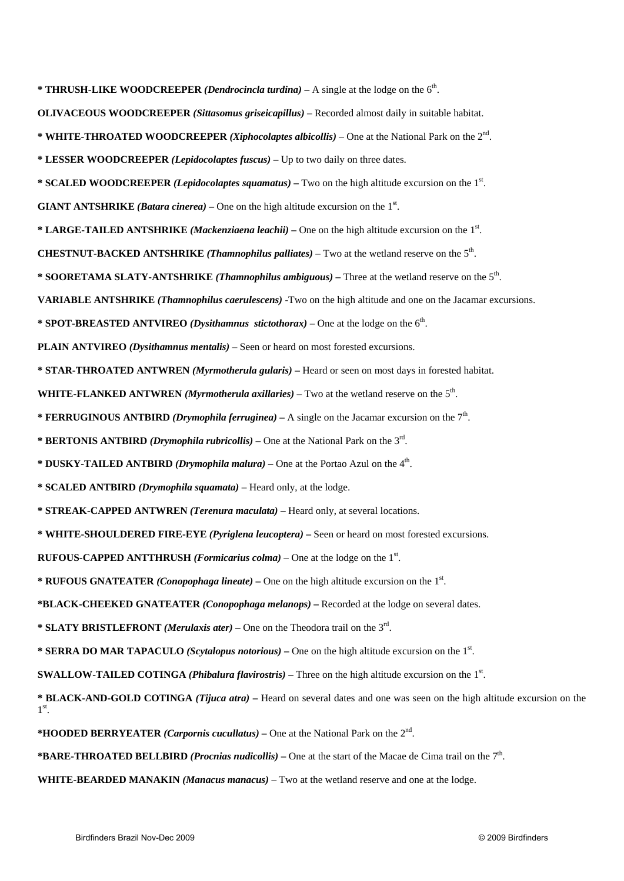**\* THRUSH-LIKE WOODCREEPER** *(Dendrocincla turdina)* **–** A single at the lodge on the 6th.

- **OLIVACEOUS WOODCREEPER** *(Sittasomus griseicapillus)* Recorded almost daily in suitable habitat.
- **\* WHITE-THROATED WOODCREEPER** *(Xiphocolaptes albicollis)* One at the National Park on the 2nd.
- **\* LESSER WOODCREEPER** *(Lepidocolaptes fuscus)*Up to two daily on three dates.
- \* **SCALED WOODCREEPER** *(Lepidocolaptes squamatus)* Two on the high altitude excursion on the 1<sup>st</sup>.
- **GIANT ANTSHRIKE** *(Batara cinerea)* One on the high altitude excursion on the  $1<sup>st</sup>$ .
- \* LARGE-TAILED ANTSHRIKE (Mackenziaena leachii) One on the high altitude excursion on the 1<sup>st</sup>.
- **CHESTNUT-BACKED ANTSHRIKE** *(Thamnophilus palliates)* Two at the wetland reserve on the 5th.
- **\* SOORETAMA SLATY-ANTSHRIKE** *(Thamnophilus ambiguous)*Three at the wetland reserve on the 5th.
- **VARIABLE ANTSHRIKE** *(Thamnophilus caerulescens)* -Two on the high altitude and one on the Jacamar excursions.
- **\* SPOT-BREASTED ANTVIREO** *(Dysithamnus stictothorax)* One at the lodge on the 6th.
- **PLAIN ANTVIREO** *(Dysithamnus mentalis)* Seen or heard on most forested excursions.
- **\* STAR-THROATED ANTWREN** *(Myrmotherula gularis)*Heard or seen on most days in forested habitat.
- **WHITE-FLANKED ANTWREN** *(Myrmotherula axillaries)* Two at the wetland reserve on the 5th.
- **\* FERRUGINOUS ANTBIRD** *(Drymophila ferruginea)*A single on the Jacamar excursion on the 7th.
- **\* BERTONIS ANTBIRD** *(Drymophila rubricollis)* One at the National Park on the 3rd.
- **\* DUSKY-TAILED ANTBIRD** *(Drymophila malura)*One at the Portao Azul on the 4th.
- **\* SCALED ANTBIRD** *(Drymophila squamata)* Heard only, at the lodge.
- **\* STREAK-CAPPED ANTWREN** *(Terenura maculata)*Heard only, at several locations.
- **\* WHITE-SHOULDERED FIRE-EYE** *(Pyriglena leucoptera)* Seen or heard on most forested excursions.
- **RUFOUS-CAPPED ANTTHRUSH** *(Formicarius colma)* One at the lodge on the 1<sup>st</sup>.
- \* **RUFOUS GNATEATER** *(Conopophaga lineate)* One on the high altitude excursion on the 1<sup>st</sup>.
- **\*BLACK-CHEEKED GNATEATER** *(Conopophaga melanops)*Recorded at the lodge on several dates.
- **\* SLATY BRISTLEFRONT** *(Merulaxis ater)* One on the Theodora trail on the 3rd.
- \* **SERRA DO MAR TAPACULO** (Scytalopus notorious) One on the high altitude excursion on the 1<sup>st</sup>.
- **SWALLOW-TAILED COTINGA** *(Phibalura flavirostris)* Three on the high altitude excursion on the 1<sup>st</sup>.
- **\* BLACK-AND-GOLD COTINGA** *(Tijuca atra)*Heard on several dates and one was seen on the high altitude excursion on the  $1^\text{st}$ .
- **\*HOODED BERRYEATER** *(Carpornis cucullatus)* One at the National Park on the 2nd.
- **\*BARE-THROATED BELLBIRD** *(Procnias nudicollis)*One at the start of the Macae de Cima trail on the 7th.
- **WHITE-BEARDED MANAKIN** *(Manacus manacus)* Two at the wetland reserve and one at the lodge.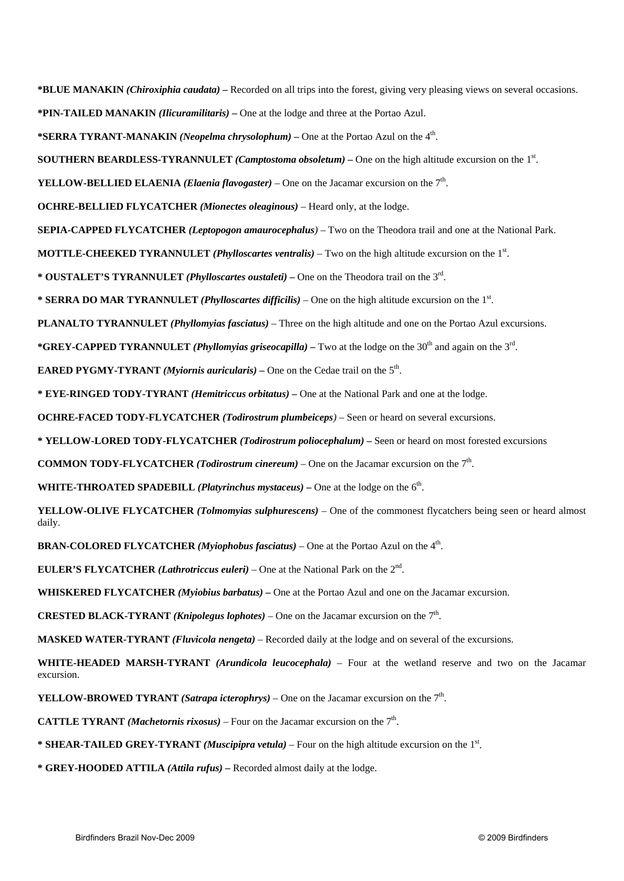**\*BLUE MANAKIN** *(Chiroxiphia caudata)* **–** Recorded on all trips into the forest, giving very pleasing views on several occasions.

**\*PIN-TAILED MANAKIN** *(Ilicuramilitaris)* **–** One at the lodge and three at the Portao Azul.

**\*SERRA TYRANT-MANAKIN** *(Neopelma chrysolophum)* **–** One at the Portao Azul on the 4th.

**SOUTHERN BEARDLESS-TYRANNULET** *(Camptostoma obsoletum)* – One on the high altitude excursion on the 1<sup>st</sup>.

**YELLOW-BELLIED ELAENIA** *(Elaenia flavogaster)* – One on the Jacamar excursion on the 7th.

**OCHRE-BELLIED FLYCATCHER** *(Mionectes oleaginous) –* Heard only, at the lodge.

**SEPIA-CAPPED FLYCATCHER** *(Leptopogon amaurocephalus)* – Two on the Theodora trail and one at the National Park.

**MOTTLE-CHEEKED TYRANNULET** *(Phylloscartes ventralis)* – Two on the high altitude excursion on the 1<sup>st</sup>.

**\* OUSTALET'S TYRANNULET** *(Phylloscartes oustaleti) –* One on the Theodora trail on the 3rd.

\* **SERRA DO MAR TYRANNULET** *(Phylloscartes difficilis)* – One on the high altitude excursion on the 1<sup>st</sup>.

**PLANALTO TYRANNULET** *(Phyllomyias fasciatus)* – Three on the high altitude and one on the Portao Azul excursions.

**\*GREY-CAPPED TYRANNULET** *(Phyllomyias griseocapilla)* – Two at the lodge on the 30<sup>th</sup> and again on the 3<sup>rd</sup>.

**EARED PYGMY-TYRANT** *(Myiornis auricularis)* – One on the Cedae trail on the  $5<sup>th</sup>$ .

**\* EYE-RINGED TODY-TYRANT** *(Hemitriccus orbitatus) –* One at the National Park and one at the lodge.

**OCHRE-FACED TODY-FLYCATCHER** *(Todirostrum plumbeiceps)* – Seen or heard on several excursions.

**\* YELLOW-LORED TODY-FLYCATCHER** *(Todirostrum poliocephalum)* **–** Seen or heard on most forested excursions

**COMMON TODY-FLYCATCHER** *(Todirostrum cinereum)* – One on the Jacamar excursion on the  $7<sup>th</sup>$ .

**WHITE-THROATED SPADEBILL** *(Platyrinchus mystaceus)* **– One at the lodge on the**  $6<sup>th</sup>$ **.** 

**YELLOW-OLIVE FLYCATCHER** *(Tolmomyias sulphurescens)* – One of the commonest flycatchers being seen or heard almost daily.

**BRAN-COLORED FLYCATCHER** *(Myiophobus fasciatus) –* One at the Portao Azul on the 4th.

**EULER'S FLYCATCHER** *(Lathrotriccus euleri)* – One at the National Park on the 2nd.

**WHISKERED FLYCATCHER** *(Myiobius barbatus) –* One at the Portao Azul and one on the Jacamar excursion.

**CRESTED BLACK-TYRANT** *(Knipolegus lophotes)* – One on the Jacamar excursion on the  $7<sup>th</sup>$ .

**MASKED WATER-TYRANT** *(Fluvicola nengeta)* – Recorded daily at the lodge and on several of the excursions.

**WHITE-HEADED MARSH-TYRANT** *(Arundicola leucocephala)* – Four at the wetland reserve and two on the Jacamar excursion.

**YELLOW-BROWED TYRANT** *(Satrapa icterophrys)* – One on the Jacamar excursion on the  $7<sup>th</sup>$ .

**CATTLE TYRANT** *(Machetornis rixosus)* – Four on the Jacamar excursion on the  $7<sup>th</sup>$ .

\* **SHEAR-TAILED GREY-TYRANT** *(Muscipipra vetula)* – Four on the high altitude excursion on the 1<sup>st</sup>.

**\* GREY-HOODED ATTILA** *(Attila rufus) –* Recorded almost daily at the lodge.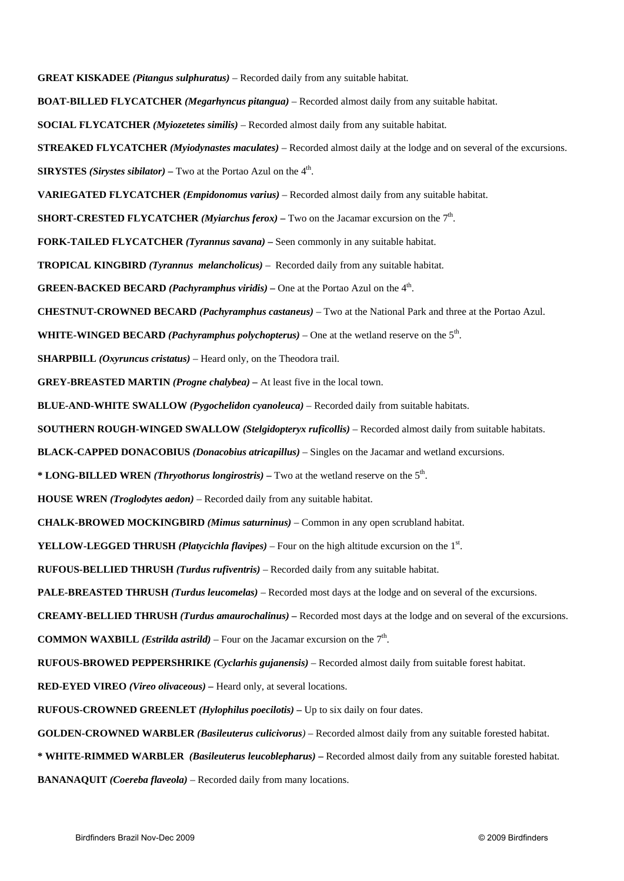**GREAT KISKADEE** *(Pitangus sulphuratus)* – Recorded daily from any suitable habitat. **BOAT-BILLED FLYCATCHER** *(Megarhyncus pitangua)* – Recorded almost daily from any suitable habitat. **SOCIAL FLYCATCHER** *(Myiozetetes similis)* – Recorded almost daily from any suitable habitat. **STREAKED FLYCATCHER** *(Myiodynastes maculates)* – Recorded almost daily at the lodge and on several of the excursions. **SIRYSTES** *(Sirystes sibilator)* – Two at the Portao Azul on the  $4<sup>th</sup>$ . **VARIEGATED FLYCATCHER** *(Empidonomus varius)* – Recorded almost daily from any suitable habitat. **SHORT-CRESTED FLYCATCHER** *(Myiarchus ferox)* – Two on the Jacamar excursion on the  $7<sup>th</sup>$ . **FORK-TAILED FLYCATCHER** *(Tyrannus savana) –* Seen commonly in any suitable habitat. **TROPICAL KINGBIRD** *(Tyrannus melancholicus)* – Recorded daily from any suitable habitat. **GREEN-BACKED BECARD** *(Pachyramphus viridis)* – One at the Portao Azul on the 4<sup>th</sup>. **CHESTNUT-CROWNED BECARD** *(Pachyramphus castaneus)* – Two at the National Park and three at the Portao Azul. WHITE-WINGED BECARD *(Pachyramphus polychopterus)* – One at the wetland reserve on the 5<sup>th</sup>. **SHARPBILL** *(Oxyruncus cristatus)* – Heard only, on the Theodora trail. **GREY-BREASTED MARTIN** *(Progne chalybea) –* At least five in the local town. **BLUE-AND-WHITE SWALLOW** *(Pygochelidon cyanoleuca)* – Recorded daily from suitable habitats. **SOUTHERN ROUGH-WINGED SWALLOW** *(Stelgidopteryx ruficollis)* – Recorded almost daily from suitable habitats. **BLACK-CAPPED DONACOBIUS** *(Donacobius atricapillus)* – Singles on the Jacamar and wetland excursions. **\* LONG-BILLED WREN** *(Thryothorus longirostris)* **–** Two at the wetland reserve on the 5th. **HOUSE WREN** *(Troglodytes aedon)* – Recorded daily from any suitable habitat. **CHALK-BROWED MOCKINGBIRD** *(Mimus saturninus)* – Common in any open scrubland habitat. **YELLOW-LEGGED THRUSH** *(Platycichla flavipes)* – Four on the high altitude excursion on the 1<sup>st</sup>. **RUFOUS-BELLIED THRUSH** *(Turdus rufiventris)* – Recorded daily from any suitable habitat. **PALE-BREASTED THRUSH** *(Turdus leucomelas)* – Recorded most days at the lodge and on several of the excursions. **CREAMY-BELLIED THRUSH** *(Turdus amaurochalinus) –* Recorded most days at the lodge and on several of the excursions. **COMMON WAXBILL** *(Estrilda astrild)* – Four on the Jacamar excursion on the  $7<sup>th</sup>$ . **RUFOUS-BROWED PEPPERSHRIKE** *(Cyclarhis gujanensis)* – Recorded almost daily from suitable forest habitat. **RED-EYED VIREO** *(Vireo olivaceous) –* Heard only, at several locations. **RUFOUS-CROWNED GREENLET** *(Hylophilus poecilotis) –* Up to six daily on four dates. **GOLDEN-CROWNED WARBLER** *(Basileuterus culicivorus)* – Recorded almost daily from any suitable forested habitat. **\* WHITE-RIMMED WARBLER** *(Basileuterus leucoblepharus)* **–** Recorded almost daily from any suitable forested habitat. **BANANAQUIT** *(Coereba flaveola)* – Recorded daily from many locations.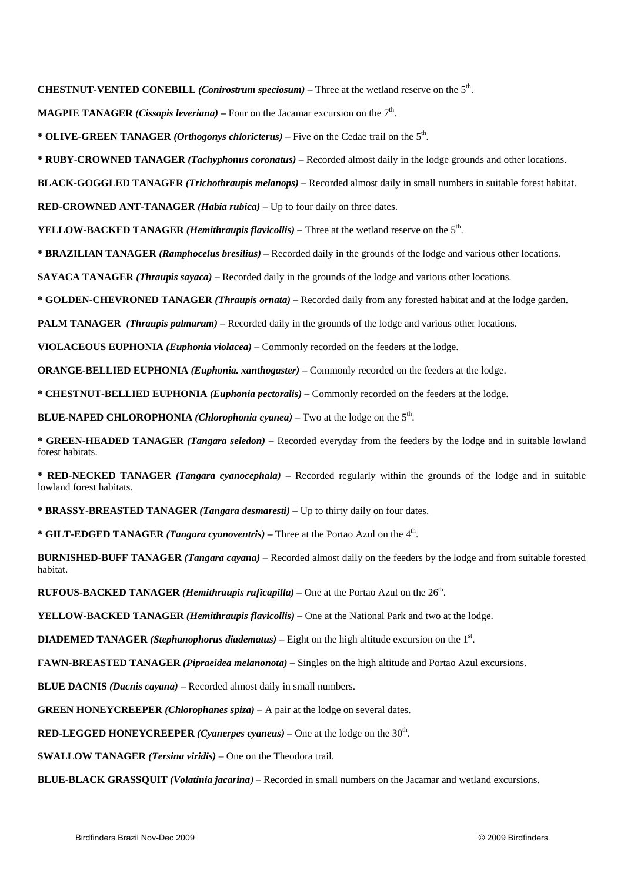**CHESTNUT-VENTED CONEBILL** *(Conirostrum speciosum)* – Three at the wetland reserve on the  $5<sup>th</sup>$ .

**MAGPIE TANAGER** *(Cissopis leveriana)* – Four on the Jacamar excursion on the  $7<sup>th</sup>$ .

**\* OLIVE-GREEN TANAGER** *(Orthogonys chloricterus)* – Five on the Cedae trail on the 5th.

**\* RUBY-CROWNED TANAGER** *(Tachyphonus coronatus) –* Recorded almost daily in the lodge grounds and other locations.

**BLACK-GOGGLED TANAGER** *(Trichothraupis melanops)* – Recorded almost daily in small numbers in suitable forest habitat.

**RED-CROWNED ANT-TANAGER** *(Habia rubica)* – Up to four daily on three dates.

**YELLOW-BACKED TANAGER** *(Hemithraupis flavicollis) –* Three at the wetland reserve on the 5th.

**\* BRAZILIAN TANAGER** *(Ramphocelus bresilius)* **–** Recorded daily in the grounds of the lodge and various other locations.

**SAYACA TANAGER** *(Thraupis sayaca)* – Recorded daily in the grounds of the lodge and various other locations.

**\* GOLDEN-CHEVRONED TANAGER** *(Thraupis ornata) –* Recorded daily from any forested habitat and at the lodge garden.

**PALM TANAGER** *(Thraupis palmarum)* – Recorded daily in the grounds of the lodge and various other locations.

**VIOLACEOUS EUPHONIA** *(Euphonia violacea)* – Commonly recorded on the feeders at the lodge.

**ORANGE-BELLIED EUPHONIA** *(Euphonia. xanthogaster)* – Commonly recorded on the feeders at the lodge.

**\* CHESTNUT-BELLIED EUPHONIA** *(Euphonia pectoralis)* **–** Commonly recorded on the feeders at the lodge.

**BLUE-NAPED CHLOROPHONIA** *(Chlorophonia cyanea)* – Two at the lodge on the  $5<sup>th</sup>$ .

**\* GREEN-HEADED TANAGER** *(Tangara seledon) –* Recorded everyday from the feeders by the lodge and in suitable lowland forest habitats.

**\* RED-NECKED TANAGER** *(Tangara cyanocephala)* **–** Recorded regularly within the grounds of the lodge and in suitable lowland forest habitats.

**\* BRASSY-BREASTED TANAGER** *(Tangara desmaresti)* **–** Up to thirty daily on four dates.

**\* GILT-EDGED TANAGER** *(Tangara cyanoventris) –* Three at the Portao Azul on the 4th.

**BURNISHED-BUFF TANAGER** *(Tangara cayana)* – Recorded almost daily on the feeders by the lodge and from suitable forested habitat.

**RUFOUS-BACKED TANAGER** *(Hemithraupis ruficapilla)* – One at the Portao Azul on the 26<sup>th</sup>.

**YELLOW-BACKED TANAGER** *(Hemithraupis flavicollis) –* One at the National Park and two at the lodge.

**DIADEMED TANAGER** (Stephanophorus diadematus) – Eight on the high altitude excursion on the 1<sup>st</sup>.

**FAWN-BREASTED TANAGER** *(Pipraeidea melanonota) –* Singles on the high altitude and Portao Azul excursions.

**BLUE DACNIS** *(Dacnis cayana)* – Recorded almost daily in small numbers.

**GREEN HONEYCREEPER** *(Chlorophanes spiza)* – A pair at the lodge on several dates.

**RED-LEGGED HONEYCREEPER** *(Cyanerpes cyaneus)* **– One at the lodge on the**  $30<sup>th</sup>$ **.** 

**SWALLOW TANAGER** *(Tersina viridis)* – One on the Theodora trail.

**BLUE-BLACK GRASSQUIT** *(Volatinia jacarina)* – Recorded in small numbers on the Jacamar and wetland excursions.